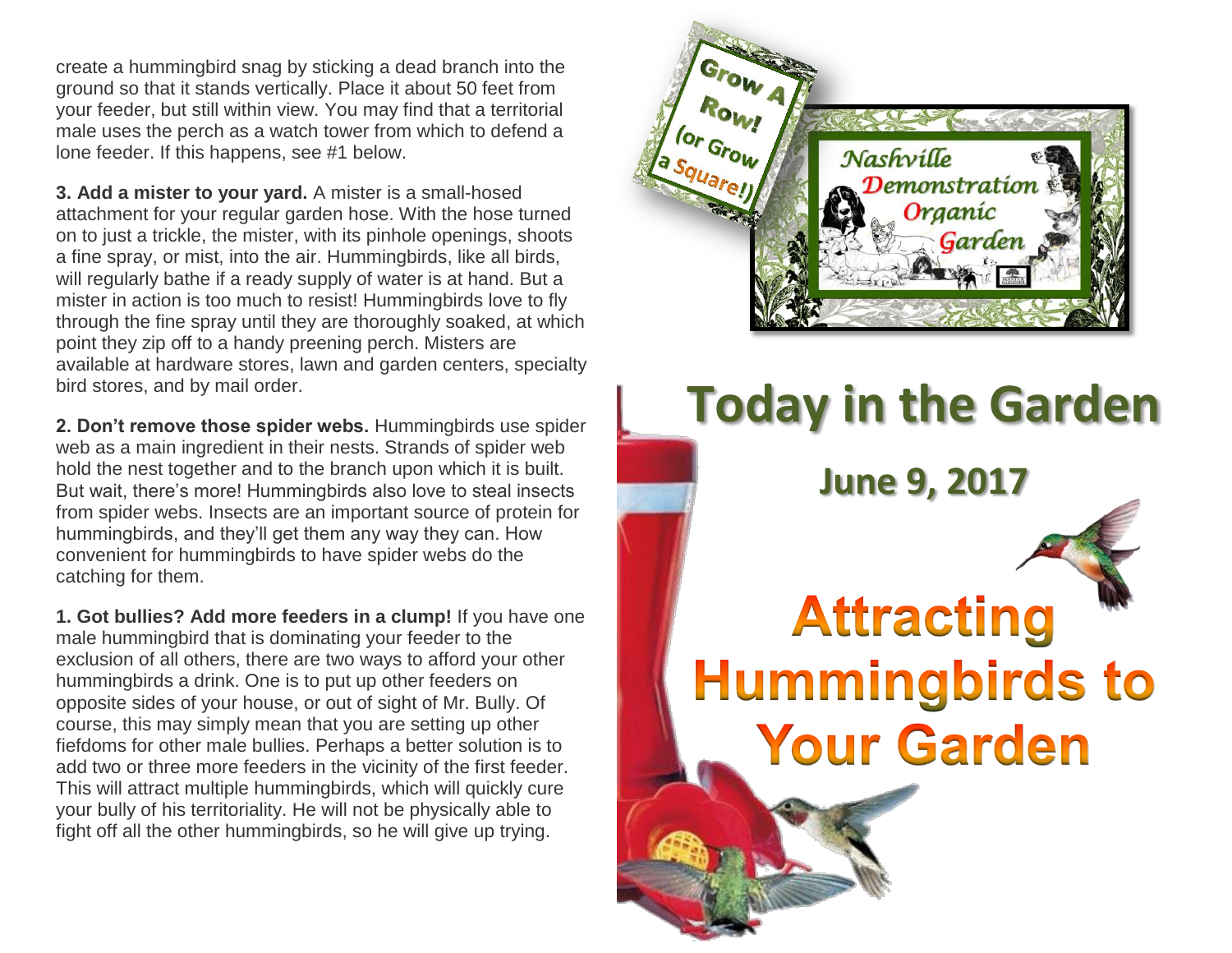create a hummingbird snag by sticking a dead branch into the ground so that it stands vertically. Place it about 50 feet from your feeder, but still within view. You may find that a territorial male uses the perch as a watch tower from which to defend a lone feeder. If this happens, see #1 below.

**3. Add a mister to your yard.** A mister is a small-hosed attachment for your regular garden hose. With the hose turned on to just a trickle, the mister, with its pinhole openings, shoots a fine spray, or mist, into the air. Hummingbirds, like all birds, will regularly bathe if a ready supply of water is at hand. But a mister in action is too much to resist! Hummingbirds love to fly through the fine spray until they are thoroughly soaked, at which point they zip off to a handy preening perch. Misters are available at hardware stores, lawn and garden centers, specialty bird stores, and by mail order.

**2. Don't remove those spider webs.** Hummingbirds use spider web as a main ingredient in their nests. Strands of spider web hold the nest together and to the branch upon which it is built. But wait, there's more! Hummingbirds also love to steal insects from spider webs. Insects are an important source of protein for hummingbirds, and they'll get them any way they can. How convenient for hummingbirds to have spider webs do the catching for them.

**1. Got bullies? Add more feeders in a clump!** If you have one male hummingbird that is dominating your feeder to the exclusion of all others, there are two ways to afford your other hummingbirds a drink. One is to put up other feeders on opposite sides of your house, or out of sight of Mr. Bully. Of course, this may simply mean that you are setting up other fiefdoms for other male bullies. Perhaps a better solution is to add two or three more feeders in the vicinity of the first feeder. This will attract multiple hummingbirds, which will quickly cure your bully of his territoriality. He will not be physically able to fight off all the other hummingbirds, so he will give up trying.